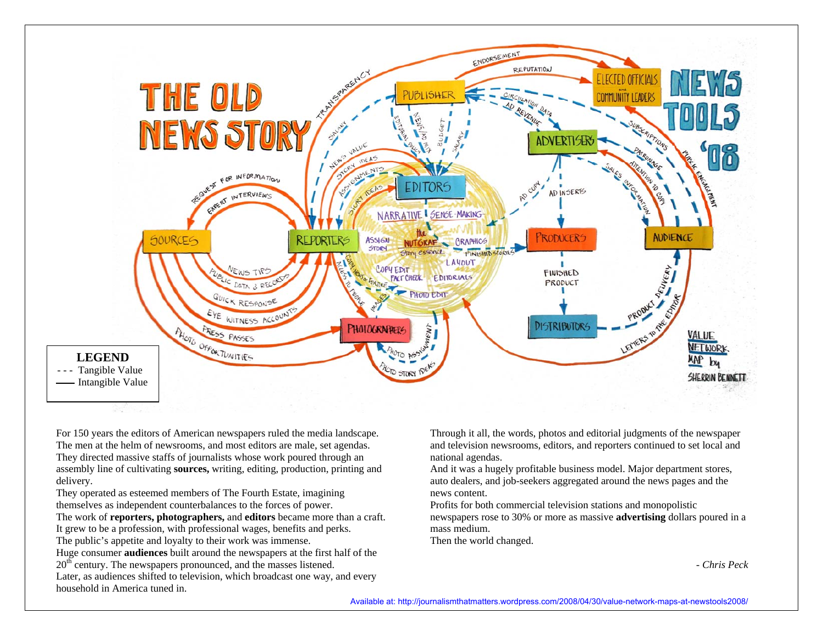

For 150 years the editors of American newspapers ruled the media landscape. The men at the helm of newsrooms, and most editors are male, set agendas. They directed massive staffs of journalists whose work poured through an assembly line of cultivating **sources,** writing, editing, production, printing and delivery.

They operated as esteemed members of The Fourth Estate, imagining themselves as independent counterbalances to the forces of power. The work of **reporters, photographers,** and **editors** became more than a craft. It grew to be a profession, with professional wages, benefits and perks. The public's appetite and loyalty to their work was immense. Huge consumer **audiences** built around the newspapers at the first half of the 20<sup>th</sup> century. The newspapers pronounced, and the masses listened. Later, as audiences shifted to television, which broadcast one way, and every household in America tuned in.

Through it all, the words, photos and editorial judgments of the newspaper and television newsrooms, editors, and reporters continued to set local and national agendas.

And it was a hugely profitable business model. Major department stores, auto dealers, and job-seekers aggregated around the news pages and the news content.

Profits for both commercial television stations and monopolistic newspapers rose to 30% or more as massive **advertising** dollars poured in a mass medium.

Then the world changed.

- *Chris Peck*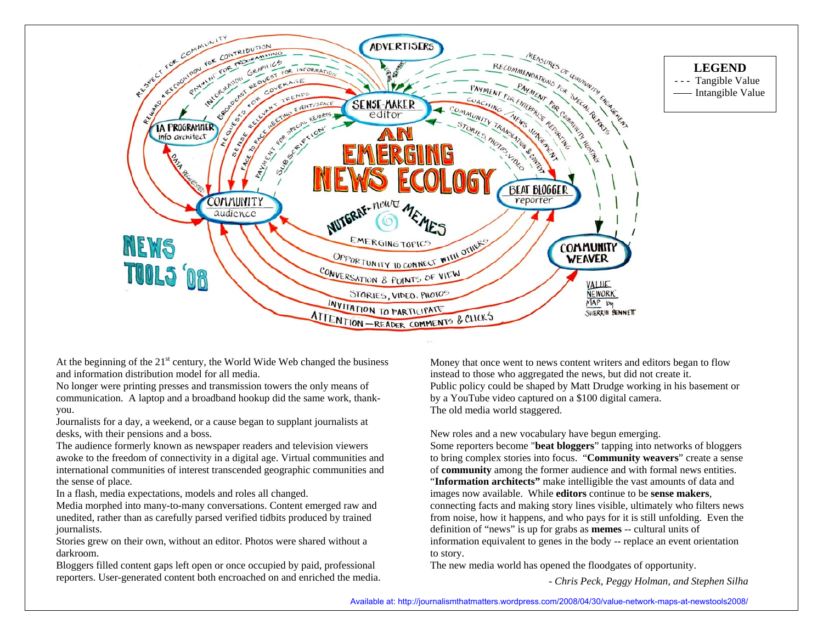

At the beginning of the  $21<sup>st</sup>$  century, the World Wide Web changed the business and information distribution model for all media.

No longer were printing presses and transmission towers the only means of communication. A laptop and a broadband hookup did the same work, thankyou.

Journalists for a day, a weekend, or a cause began to supplant journalists at desks, with their pensions and a boss.

The audience formerly known as newspaper readers and television viewers awoke to the freedom of connectivity in a digital age. Virtual communities and international communities of interest transcended geographic communities and the sense of place.

In a flash, media expectations, models and roles all changed.

Media morphed into many-to-many conversations. Content emerged raw and unedited, rather than as carefully parsed verified tidbits produced by trained journalists.

Stories grew on their own, without an editor. Photos were shared without a darkroom.

Bloggers filled content gaps left open or once occupied by paid, professional reporters. User-generated content both encroached on and enriched the media. Money that once went to news content writers and editors began to flow instead to those who aggregated the news, but did not create it. Public policy could be shaped by Matt Drudge working in his basement or by a YouTube video captured on a \$100 digital camera. The old media world staggered.

New roles and a new vocabulary have begun emerging. Some reporters become "**beat bloggers**" tapping into networks of bloggers to bring complex stories into focus. "**Community weavers**" create a sense of **community** among the former audience and with formal news entities. "**Information architects"** make intelligible the vast amounts of data and images now available. While **editors** continue to be **sense makers**, connecting facts and making story lines visible, ultimately who filters news from noise, how it happens, and who pays for it is still unfolding. Even the definition of "news" is up for grabs as **memes** -- cultural units of information equivalent to genes in the body -- replace an event orientation to story.

The new media world has opened the floodgates of opportunity.

*- Chris Peck, Peggy Holman, and Stephen Silha*